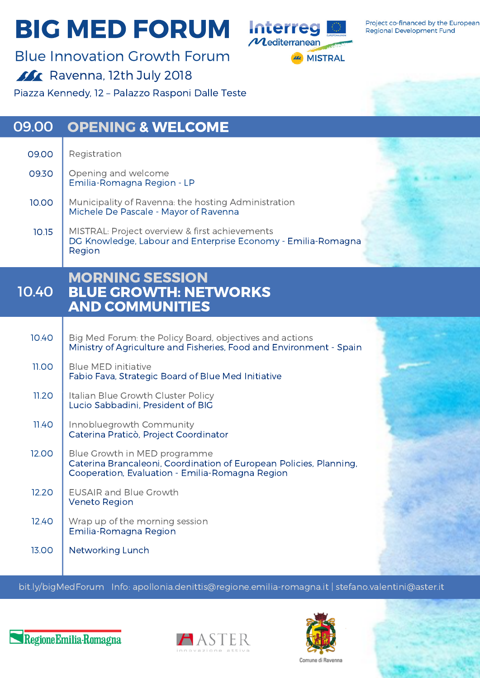## **BIG MED FORUM Interreg**



Project co-financed by the European **Regional Development Fund** 

Blue Innovation Growth Forum **Ravenna, 12th July 2018** 

Piazza Kennedy, 12 – Palazzo Rasponi Dalle Teste

| 09.00        | <b>OPENING &amp; WELCOME</b>                                                                                                                          |  |
|--------------|-------------------------------------------------------------------------------------------------------------------------------------------------------|--|
| 09.00        | Registration                                                                                                                                          |  |
| 09.30        | Opening and welcome<br>Emilia-Romagna Region - LP                                                                                                     |  |
| 10.00        | Municipality of Ravenna: the hosting Administration<br>Michele De Pascale - Mayor of Ravenna                                                          |  |
| 10.15        | MISTRAL: Project overview & first achievements<br>DG Knowledge, Labour and Enterprise Economy - Emilia-Romagna<br>Region                              |  |
| 10.40        | <b>MORNING SESSION</b><br><b>BLUE GROWTH: NETWORKS</b><br><b>AND COMMUNITIES</b>                                                                      |  |
| 10.40        | Big Med Forum: the Policy Board, objectives and actions<br>Ministry of Agriculture and Fisheries, Food and Environment - Spain                        |  |
| <b>11.00</b> | <b>Blue MED initiative</b><br>Fabio Fava, Strategic Board of Blue Med Initiative                                                                      |  |
| 11.20        | Italian Blue Growth Cluster Policy<br>Lucio Sabbadini, President of BIG                                                                               |  |
| 11.40        | Innobluegrowth Community<br>Caterina Praticò, Project Coordinator                                                                                     |  |
| 12.00        | Blue Growth in MED programme<br>Caterina Brancaleoni, Coordination of European Policies, Planning,<br>Cooperation, Evaluation - Emilia-Romagna Region |  |
| 12.20        | <b>EUSAIR and Blue Growth</b><br><b>Veneto Region</b>                                                                                                 |  |
| 12.40        | Wrap up of the morning session<br>Emilia-Romagna Region                                                                                               |  |
| 13.00        | Networking Lunch                                                                                                                                      |  |

bit.ly/bigMedForum Info: [apollonia.denittis@regione.emilia-romagna.it](http://bit.ly/bigMedForum) | stefano.valentini@aster.it